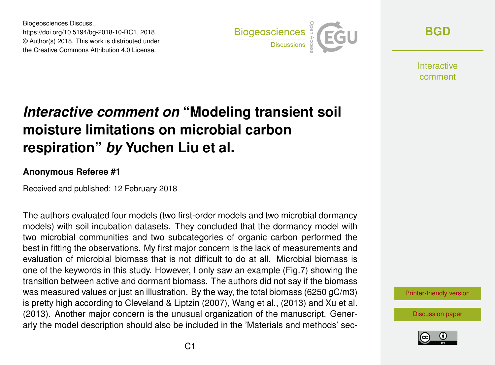Biogeosciences Discuss., https://doi.org/10.5194/bg-2018-10-RC1, 2018 © Author(s) 2018. This work is distributed under the Creative Commons Attribution 4.0 License.



**[BGD](https://www.biogeosciences-discuss.net/)**

**Interactive** comment

## *Interactive comment on* **"Modeling transient soil moisture limitations on microbial carbon respiration"** *by* **Yuchen Liu et al.**

## **Anonymous Referee #1**

Received and published: 12 February 2018

The authors evaluated four models (two first-order models and two microbial dormancy models) with soil incubation datasets. They concluded that the dormancy model with two microbial communities and two subcategories of organic carbon performed the best in fitting the observations. My first major concern is the lack of measurements and evaluation of microbial biomass that is not difficult to do at all. Microbial biomass is one of the keywords in this study. However, I only saw an example (Fig.7) showing the transition between active and dormant biomass. The authors did not say if the biomass was measured values or just an illustration. By the way, the total biomass (6250 gC/m3) is pretty high according to Cleveland & Liptzin (2007), Wang et al., (2013) and Xu et al. (2013). Another major concern is the unusual organization of the manuscript. Generarly the model description should also be included in the 'Materials and methods' sec-

[Printer-friendly version](https://www.biogeosciences-discuss.net/bg-2018-10/bg-2018-10-RC1-print.pdf)

[Discussion paper](https://www.biogeosciences-discuss.net/bg-2018-10)